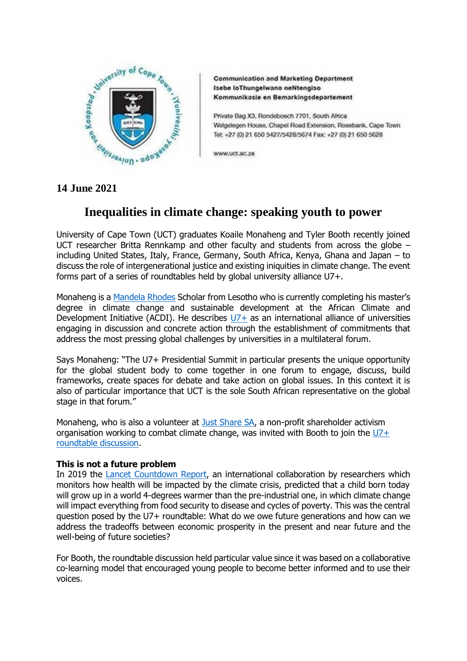

**Communication and Marketing Department** Isebe loThungelwano neNtengiso Kommunikasie en Bemarkingsdepartement

Private Bag X3, Rondebosch 7701, South Africa Welgelegen House, Chapel Road Extension, Rosebank, Cape Town Tel: +27 (0) 21 650 5427/5428/5674 Fax: +27 (0) 21 650 5628

www.uct.ac.za

# **Inequalities in climate change: speaking youth to power**

University of Cape Town (UCT) graduates Koaile Monaheng and Tyler Booth recently joined UCT researcher Britta Rennkamp and other faculty and students from across the globe – including United States, Italy, France, Germany, South Africa, Kenya, Ghana and Japan – to discuss the role of intergenerational justice and existing iniquities in climate change. The event forms part of a series of roundtables held by global university alliance U7+.

Monaheng is a [Mandela Rhodes](https://www.mandelarhodes.org/scholarship/scholars/koaile-monaheng/) Scholar from Lesotho who is currently completing his master's degree in climate change and sustainable development at the African Climate and Development Initiative (ACDI). He describes  $U7+$  as an international alliance of universities engaging in discussion and concrete action through the establishment of commitments that address the most pressing global challenges by universities in a multilateral forum.

Says Monaheng: "The U7+ Presidential Summit in particular presents the unique opportunity for the global student body to come together in one forum to engage, discuss, build frameworks, create spaces for debate and take action on global issues. In this context it is also of particular importance that UCT is the sole South African representative on the global stage in that forum."

Monaheng, who is also a volunteer at [Just Share SA,](https://justshare.org.za/) a non-profit shareholder activism organisation working to combat climate change, was invited with Booth to join the  $U7+$ [roundtable discussion.](https://www.northwestern.edu/u7summit/u7-alliance-activities/u7+-intergenerational-roundtable-series.html)

# **This is not a future problem**

In 2019 the [Lancet Countdown Report,](https://www.thelancet.com/journals/lancet/article/PIIS0140-6736(19)32596-6/fulltext) an international collaboration by researchers which monitors how health will be impacted by the climate crisis, predicted that a child born today will grow up in a world 4-degrees warmer than the pre-industrial one, in which climate change will impact everything from food security to disease and cycles of poverty. This was the central question posed by the U7+ roundtable: What do we owe future generations and how can we address the tradeoffs between economic prosperity in the present and near future and the well-being of future societies?

For Booth, the roundtable discussion held particular value since it was based on a collaborative co-learning model that encouraged young people to become better informed and to use their voices.